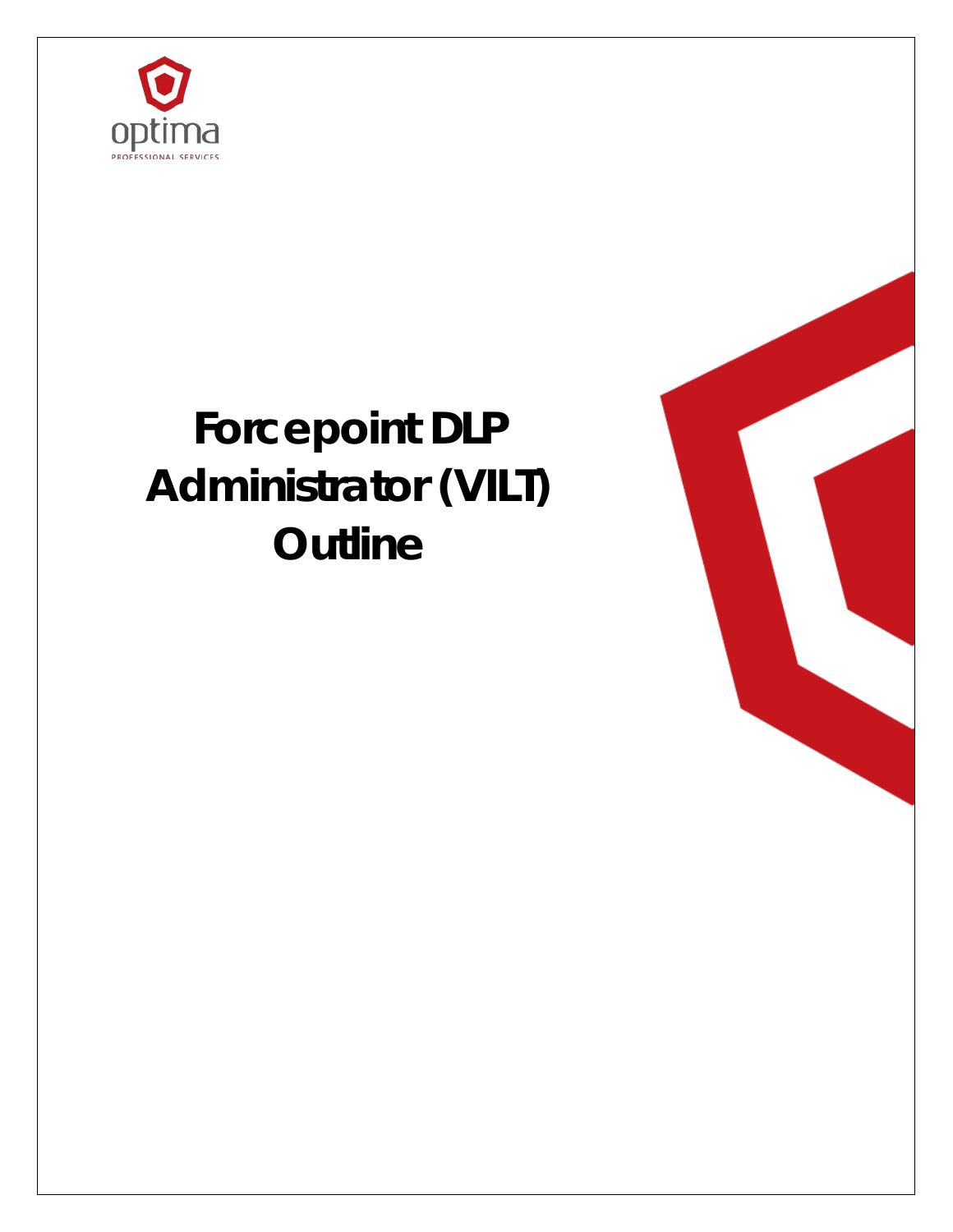

# **Forcepoint DLP Administrator (VILT) Outline**

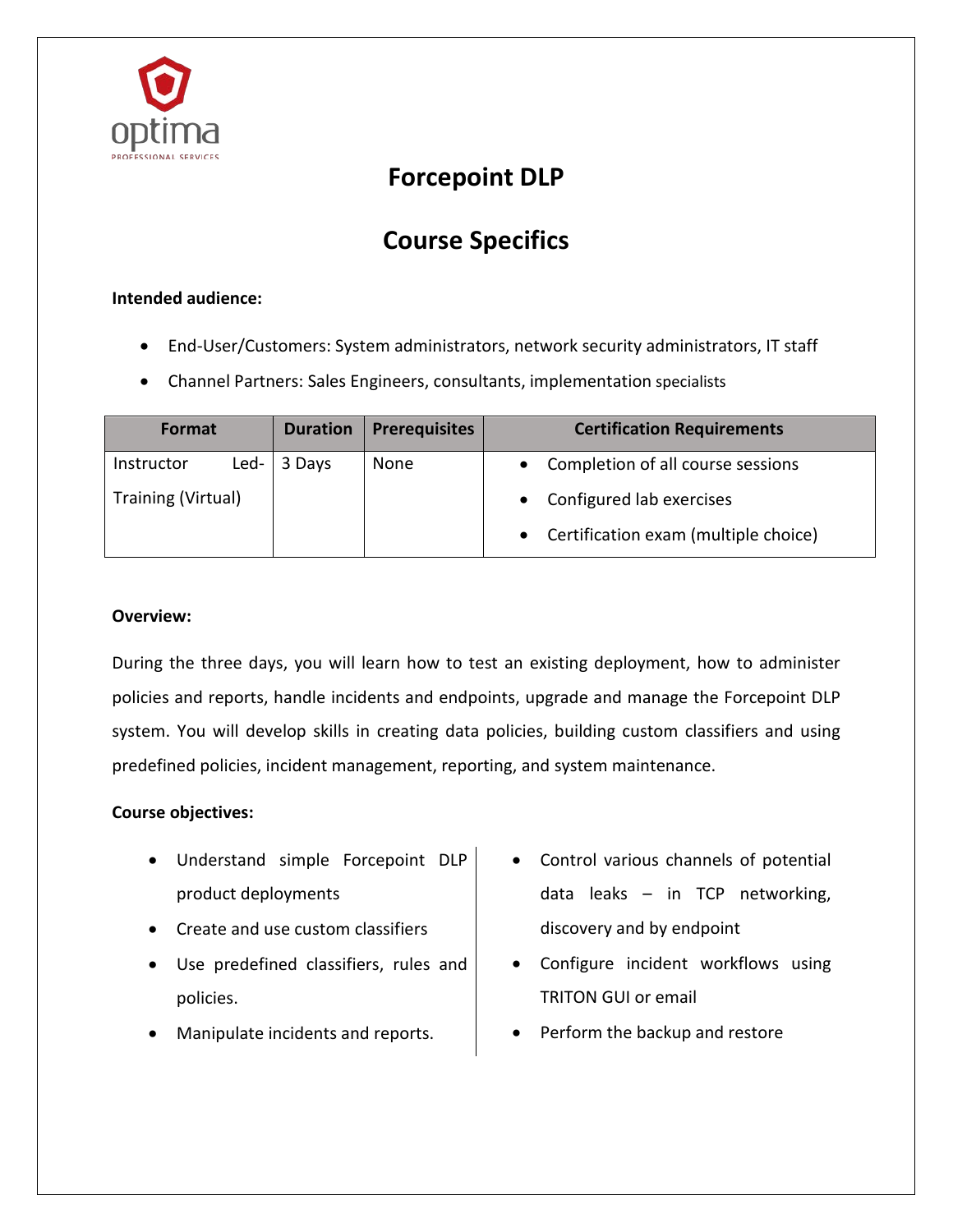

### **Forcepoint DLP**

## **Course Specifics**

#### **Intended audience:**

- End-User/Customers: System administrators, network security administrators, IT staff
- Channel Partners: Sales Engineers, consultants, implementation specialists

| Format             |      | <b>Duration</b> | <b>Prerequisites</b> | <b>Certification Requirements</b>    |
|--------------------|------|-----------------|----------------------|--------------------------------------|
| Instructor         | Led- | 3 Days          | None                 | Completion of all course sessions    |
| Training (Virtual) |      |                 |                      | Configured lab exercises             |
|                    |      |                 |                      | Certification exam (multiple choice) |

#### **Overview:**

During the three days, you will learn how to test an existing deployment, how to administer policies and reports, handle incidents and endpoints, upgrade and manage the Forcepoint DLP system. You will develop skills in creating data policies, building custom classifiers and using predefined policies, incident management, reporting, and system maintenance.

#### **Course objectives:**

- Understand simple Forcepoint DLP product deployments
- Create and use custom classifiers
- Use predefined classifiers, rules and policies.
- Manipulate incidents and reports.
- Control various channels of potential data leaks – in TCP networking, discovery and by endpoint
- Configure incident workflows using TRITON GUI or email
- Perform the backup and restore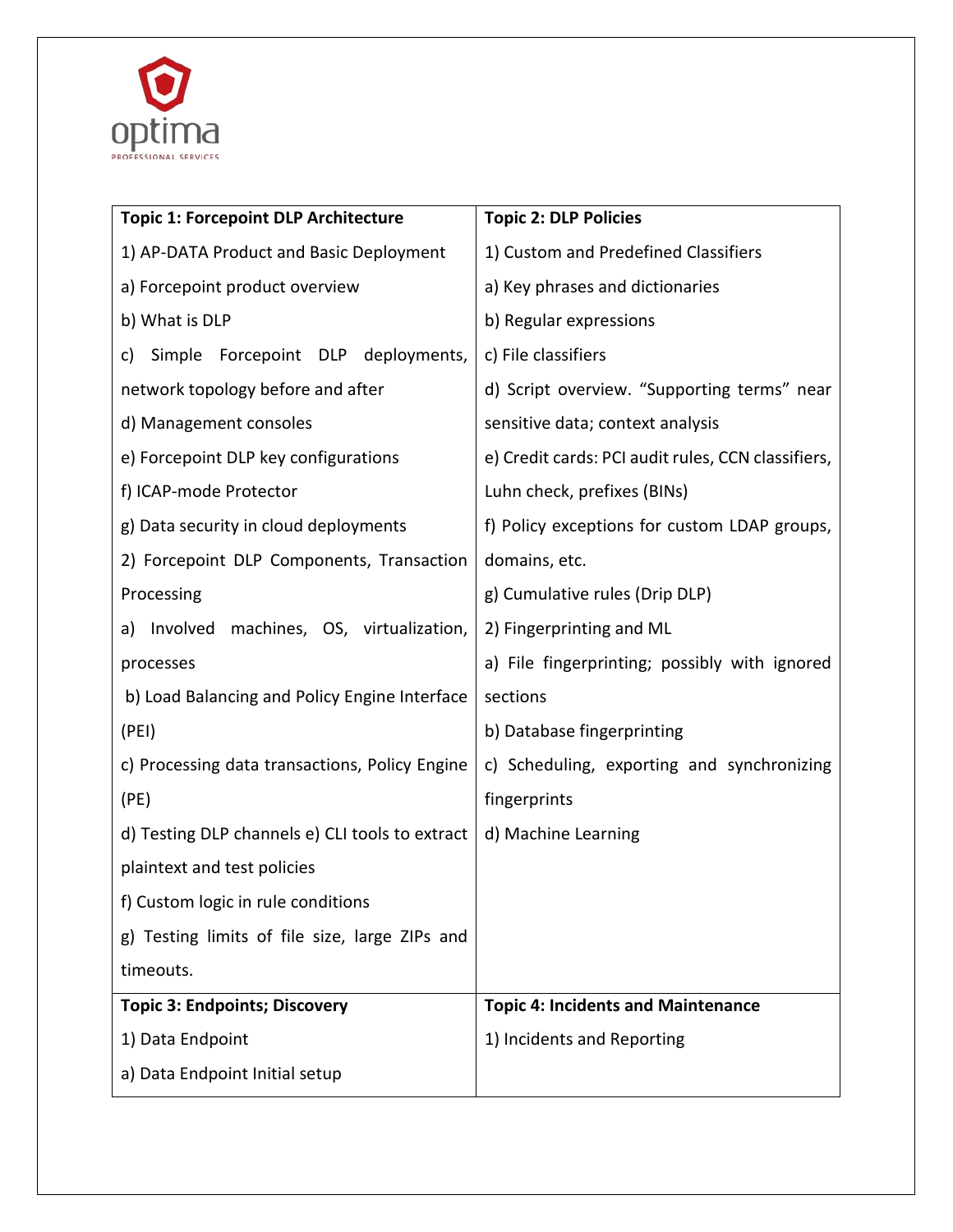

| <b>Topic 1: Forcepoint DLP Architecture</b>     | <b>Topic 2: DLP Policies</b>                       |
|-------------------------------------------------|----------------------------------------------------|
| 1) AP-DATA Product and Basic Deployment         | 1) Custom and Predefined Classifiers               |
| a) Forcepoint product overview                  | a) Key phrases and dictionaries                    |
| b) What is DLP                                  | b) Regular expressions                             |
| Simple Forcepoint DLP deployments,<br>C)        | c) File classifiers                                |
| network topology before and after               | d) Script overview. "Supporting terms" near        |
| d) Management consoles                          | sensitive data; context analysis                   |
| e) Forcepoint DLP key configurations            | e) Credit cards: PCI audit rules, CCN classifiers, |
| f) ICAP-mode Protector                          | Luhn check, prefixes (BINs)                        |
| g) Data security in cloud deployments           | f) Policy exceptions for custom LDAP groups,       |
| 2) Forcepoint DLP Components, Transaction       | domains, etc.                                      |
| Processing                                      | g) Cumulative rules (Drip DLP)                     |
| Involved<br>machines, OS, virtualization,<br>a) | 2) Fingerprinting and ML                           |
| processes                                       | a) File fingerprinting; possibly with ignored      |
| b) Load Balancing and Policy Engine Interface   | sections                                           |
| (PEI)                                           | b) Database fingerprinting                         |
| c) Processing data transactions, Policy Engine  | c) Scheduling, exporting and synchronizing         |
| (PE)                                            | fingerprints                                       |
| d) Testing DLP channels e) CLI tools to extract | d) Machine Learning                                |
| plaintext and test policies                     |                                                    |
| f) Custom logic in rule conditions              |                                                    |
| g) Testing limits of file size, large ZIPs and  |                                                    |
| timeouts.                                       |                                                    |
| <b>Topic 3: Endpoints; Discovery</b>            | <b>Topic 4: Incidents and Maintenance</b>          |
| 1) Data Endpoint                                | 1) Incidents and Reporting                         |
| a) Data Endpoint Initial setup                  |                                                    |